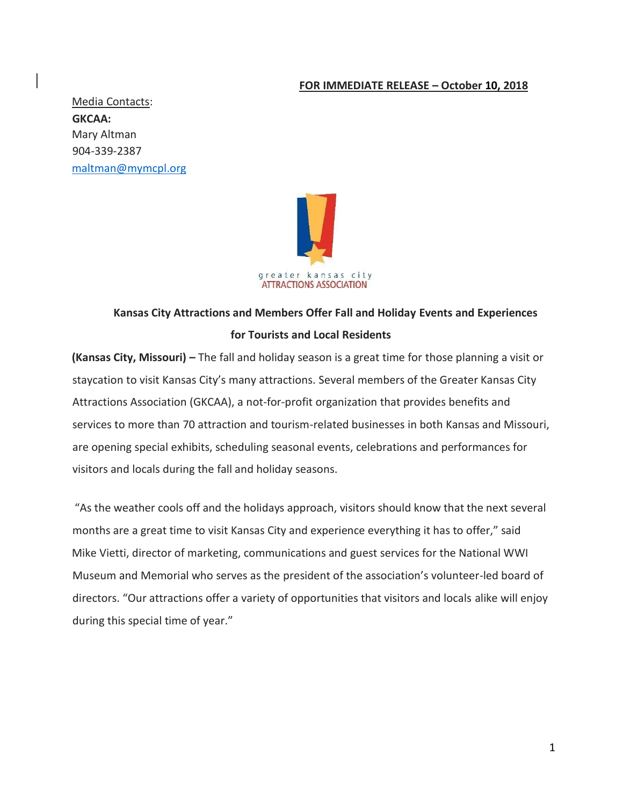### **FOR IMMEDIATE RELEASE – October 10, 2018**

Media Contacts: **GKCAA:**  Mary Altman 904-339-2387 maltman@mymcpl.org



# **Kansas City Attractions and Members Offer Fall and Holiday Events and Experiences for Tourists and Local Residents**

**(Kansas City, Missouri)** – The fall and holiday season is a great time for those planning a visit or staycation to visit Kansas City's many attractions. Several members of the Greater Kansas City Attractions Association (GKCAA), a not-for-profit organization that provides benefits and services to more than 70 attraction and tourism-related businesses in both Kansas and Missouri, are opening special exhibits, scheduling seasonal events, celebrations and performances for visitors and locals during the fall and holiday seasons.

"As the weather cools off and the holidays approach, visitors should know that the next several months are a great time to visit Kansas City and experience everything it has to offer," said Mike Vietti, director of marketing, communications and guest services for the National WWI Museum and Memorial who serves as the president of the association's volunteer-led board of directors. "Our attractions offer a variety of opportunities that visitors and locals alike will enjoy during this special time of year."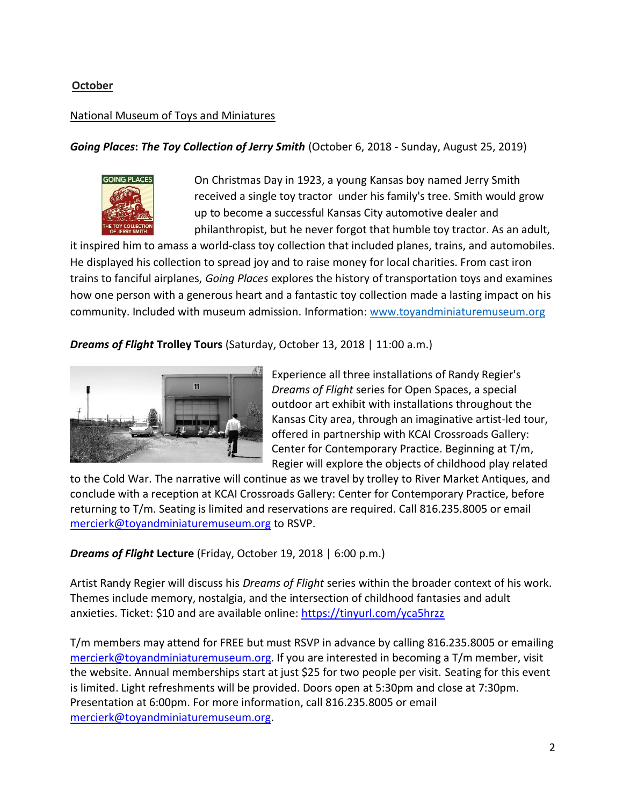# **October**

# National Museum of Toys and Miniatures

*Going Places***:** *The Toy Collection of Jerry Smith* (October 6, 2018 - Sunday, August 25, 2019)



On Christmas Day in 1923, a young Kansas boy named Jerry Smith received a single toy tractor under his family's tree. Smith would grow up to become a successful Kansas City automotive dealer and philanthropist, but he never forgot that humble toy tractor. As an adult,

it inspired him to amass a world-class toy collection that included planes, trains, and automobiles. He displayed his collection to spread joy and to raise money for local charities. From cast iron trains to fanciful airplanes, *Going Places* explores the history of transportation toys and examines how one person with a generous heart and a fantastic toy collection made a lasting impact on his community. Included with museum admission. Information: [www.toyandminiaturemuseum.org](http://www.toyandminiaturemuseum.org/) 

*Dreams of Flight* **Trolley Tours** (Saturday, October 13, 2018 | 11:00 a.m.)



Experience all three installations of Randy Regier's *Dreams of Flight* series for Open Spaces, a special outdoor art exhibit with installations throughout the Kansas City area, through an imaginative artist-led tour, offered in partnership with KCAI Crossroads Gallery: Center for Contemporary Practice. Beginning at T/m, Regier will explore the objects of childhood play related

to the Cold War. The narrative will continue as we travel by trolley to River Market Antiques, and conclude with a reception at KCAI Crossroads Gallery: Center for Contemporary Practice, before returning to T/m. Seating is limited and reservations are required. Call 816.235.8005 or email [mercierk@toyandminiaturemuseum.org](mailto:mercierk@toyandminiaturemuseum.org) to RSVP.

*Dreams of Flight* **Lecture** (Friday, October 19, 2018 | 6:00 p.m.)

Artist Randy Regier will discuss his *Dreams of Flight* series within the broader context of his work. Themes include memory, nostalgia, and the intersection of childhood fantasies and adult anxieties. Ticket: \$10 and are available online:<https://tinyurl.com/yca5hrzz>

T/m members may attend for FREE but must RSVP in advance by calling 816.235.8005 or emailing [mercierk@toyandminiaturemuseum.org.](mailto:mercierk@toyandminiaturemuseum.org) If you are interested in becoming a T/m member, visit the website. Annual memberships start at just \$25 for two people per visit. Seating for this event is limited. Light refreshments will be provided. Doors open at 5:30pm and close at 7:30pm. Presentation at 6:00pm. For more information, call 816.235.8005 or email [mercierk@toyandminiaturemuseum.org.](mailto:mercierk@toyandminiaturemuseum.org)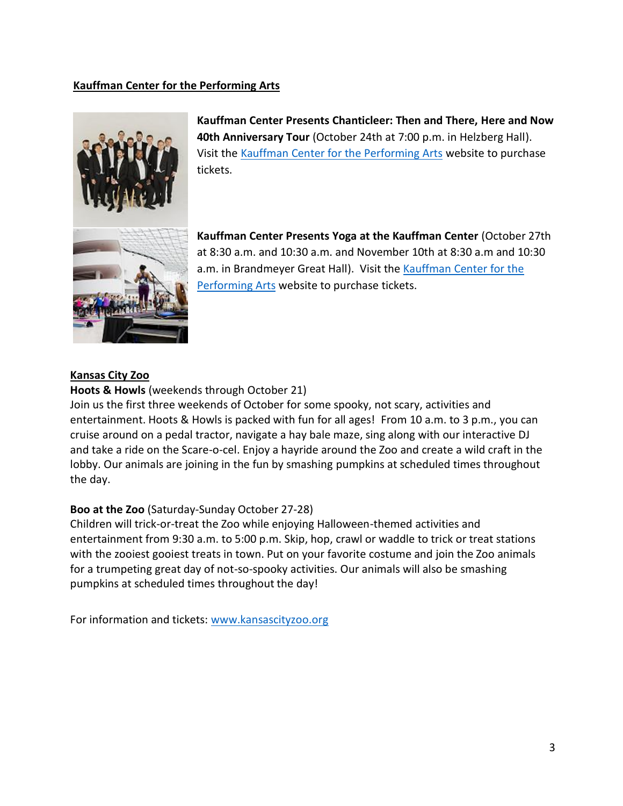# **Kauffman Center for the Performing Arts**



**Kauffman Center Presents Chanticleer: Then and There, Here and Now 40th Anniversary Tour** (October 24th at 7:00 p.m. in Helzberg Hall). Visit the [Kauffman Center for the Performing Arts](http://tickets.kauffmancenter.org/single/eventDetail.aspx?p=12125) website to purchase tickets.

**Kauffman Center Presents Yoga at the Kauffman Center** (October 27th at 8:30 a.m. and 10:30 a.m. and November 10th at 8:30 a.m and 10:30 a.m. in Brandmeyer Great Hall). Visit the [Kauffman Center for the](http://tickets.kauffmancenter.org/single/eventDetail.aspx?p=12125)  [Performing Arts](http://tickets.kauffmancenter.org/single/eventDetail.aspx?p=12125) [w](http://tickets.kauffmancenter.org/single/eventDetail.aspx?p=12125)ebsite to purchase tickets.

#### **Kansas City Zoo**

#### **Hoots & Howls** (weekends through October 21)

Join us the first three weekends of October for some spooky, not scary, activities and entertainment. Hoots & Howls is packed with fun for all ages! From 10 a.m. to 3 p.m., you can cruise around on a pedal tractor, navigate a hay bale maze, sing along with our interactive DJ and take a ride on the Scare-o-cel. Enjoy a hayride around the Zoo and create a wild craft in the lobby. Our animals are joining in the fun by smashing pumpkins at scheduled times throughout the day.

#### **Boo at the Zoo** (Saturday-Sunday October 27-28)

Children will trick-or-treat the Zoo while enjoying Halloween-themed activities and entertainment from 9:30 a.m. to 5:00 p.m. Skip, hop, crawl or waddle to trick or treat stations with the zooiest gooiest treats in town. Put on your favorite costume and join the Zoo animals for a trumpeting great day of not-so-spooky activities. Our animals will also be smashing pumpkins at scheduled times throughout the day!

For information and tickets: [www.kansascityzoo.org](http://www.kansascityzoo.org/)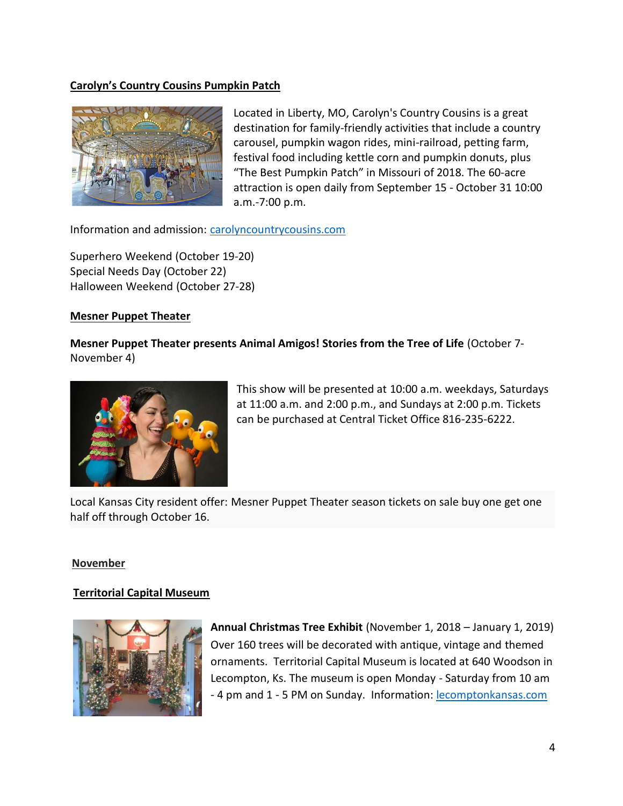# **Carolyn's Country Cousins Pumpkin Patch**



Located in Liberty, MO, Carolyn's Country Cousins is a great destination for family-friendly activities that include a country carousel, pumpkin wagon rides, mini-railroad, petting farm, festival food including kettle corn and pumpkin donuts, plus "The Best Pumpkin Patch" in Missouri of 2018. The 60-acre attraction is open daily from September 15 - October 31 10:00 a.m.-7:00 p.m.

Information and admission: [carolyncountrycousins.com](https://carolyncountrycousins.com/)

Superhero Weekend (October 19-20) Special Needs Day (October 22) Halloween Weekend (October 27-28)

#### **Mesner Puppet Theater**

**Mesner Puppet Theater presents Animal Amigos! Stories from the Tree of Life** (October 7- November 4)



This show will be presented at 10:00 a.m. weekdays, Saturdays at 11:00 a.m. and 2:00 p.m., and Sundays at 2:00 p.m. Tickets can be purchased at Central Ticket Office 816-235-6222.

Local Kansas City resident offer: Mesner Puppet Theater season tickets on sale buy one get one half off through October 16.

#### **November**

### **Territorial Capital Museum**



**Annual Christmas Tree Exhibit** (November 1, 2018 – January 1, 2019) Over 160 trees will be decorated with antique, vintage and themed ornaments. Territorial Capital Museum is located at 640 Woodson in Lecompton, Ks. The museum is open Monday - Saturday from 10 am - 4 pm and 1 - 5 PM on Sunday. Information[: lecomptonkansas.com](http://www.lecomptonkansas.com/)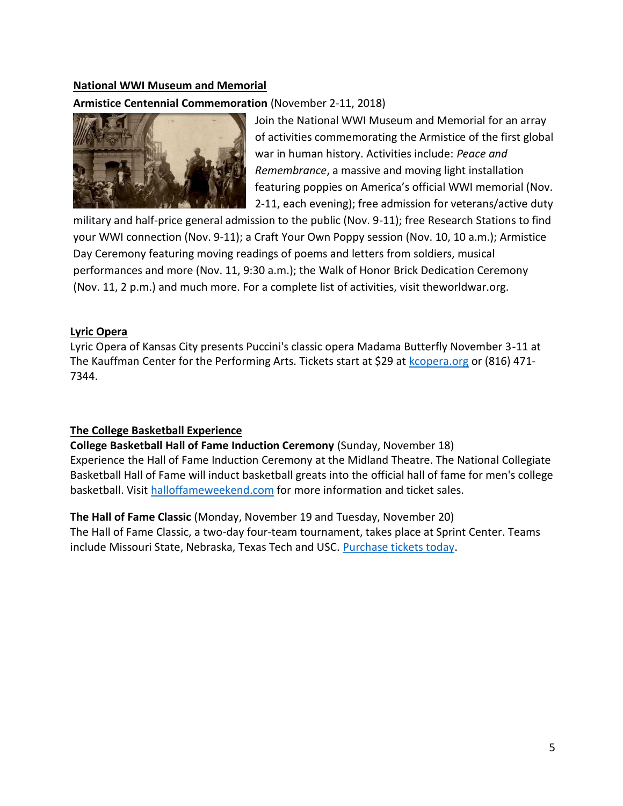#### **National WWI Museum and Memorial**

# **Armistice Centennial Commemoration** (November 2-11, 2018)



Join the National WWI Museum and Memorial for an array of activities commemorating the Armistice of the first global war in human history. Activities include: *Peace and Remembrance*, a massive and moving light installation featuring poppies on America's official WWI memorial (Nov. 2-11, each evening); free admission for veterans/active duty

military and half-price general admission to the public (Nov. 9-11); free Research Stations to find your WWI connection (Nov. 9-11); a Craft Your Own Poppy session (Nov. 10, 10 a.m.); Armistice Day Ceremony featuring moving readings of poems and letters from soldiers, musical performances and more (Nov. 11, 9:30 a.m.); the Walk of Honor Brick Dedication Ceremony (Nov. 11, 2 p.m.) and much more. For a complete list of activities, visit theworldwar.org.

#### **Lyric Opera**

Lyric Opera of Kansas City presents Puccini's classic opera Madama Butterfly November 3-11 at The Kauffman Center for the Performing Arts. Tickets start at \$29 at [kcopera.org](https://kcopera.org/) or (816) 471- 7344.

### **The College Basketball Experience**

**College Basketball Hall of Fame Induction Ceremony** (Sunday, November 18) Experience the Hall of Fame Induction Ceremony at the Midland Theatre. The National Collegiate Basketball Hall of Fame will induct basketball greats into the official hall of fame for men's college basketball. Visit [halloffameweekend.com](http://www.halloffameweekend.com/landing/index) for more information and ticket sales.

**The Hall of Fame Classic** (Monday, November 19 and Tuesday, November 20) The Hall of Fame Classic, a two-day four-team tournament, takes place at Sprint Center. Teams include Missouri State, Nebraska, Texas Tech and USC. [Purchase tickets today.](https://www.axs.com/series/6120/2018-hall-of-fame-classic-at-sprint-center-tickets?skin=sprintcenter)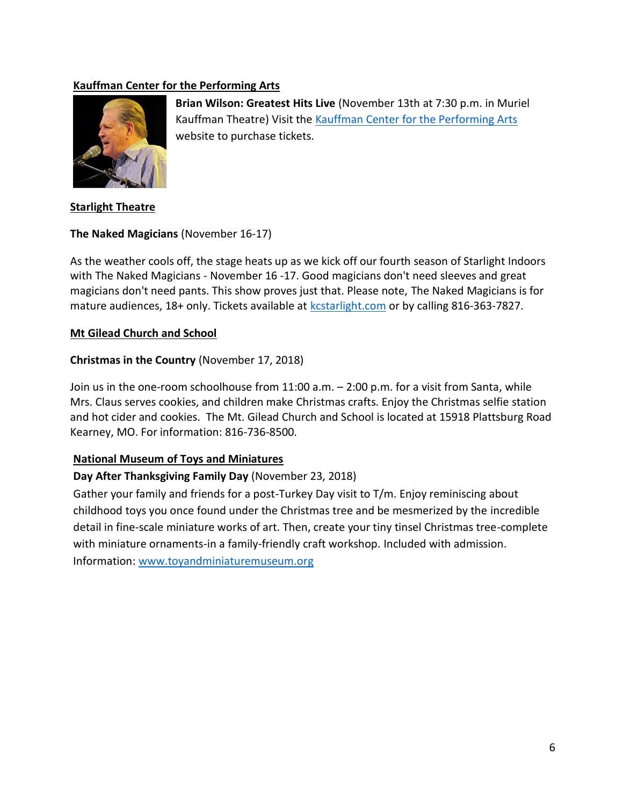# **Kauffman Center for the Performing Arts**



**Brian Wilson: Greatest Hits Live** (November 13th at 7:30 p.m. in Muriel Kauffman Theatre) Visit th[e Kauffman Center for the Performing Arts](http://tickets.kauffmancenter.org/single/eventDetail.aspx?p=12125) website to purchase tickets.

**Starlight Theatre**

# **The Naked Magicians** (November 16-17)

As the weather cools off, the stage heats up as we kick off our fourth season of Starlight Indoors with The Naked Magicians - November 16 -17. Good magicians don't need sleeves and great magicians don't need pants. This show proves just that. Please note, The Naked Magicians is for mature audiences, 18+ only. Tickets available at **kcstarlight.com** or by calling 816-363-7827.

# **Mt Gilead Church and School**

# **Christmas in the Country** (November 17, 2018)

Join us in the one-room schoolhouse from 11:00 a.m. – 2:00 p.m. for a visit from Santa, while Mrs. Claus serves cookies, and children make Christmas crafts. Enjoy the Christmas selfie station and hot cider and cookies. The Mt. Gilead Church and School is located at 15918 Plattsburg Road Kearney, MO. For information: 816-736-8500.

### **National Museum of Toys and Miniatures**

# **Day After Thanksgiving Family Day** (November 23, 2018)

Gather your family and friends for a post-Turkey Day visit to T/m. Enjoy reminiscing about childhood toys you once found under the Christmas tree and be mesmerized by the incredible detail in fine-scale miniature works of art. Then, create your tiny tinsel Christmas tree-complete with miniature ornaments-in a family-friendly craft workshop. Included with admission. Information: [www.toyandminiaturemuseum.org](http://www.toyandminiaturemuseum.org/)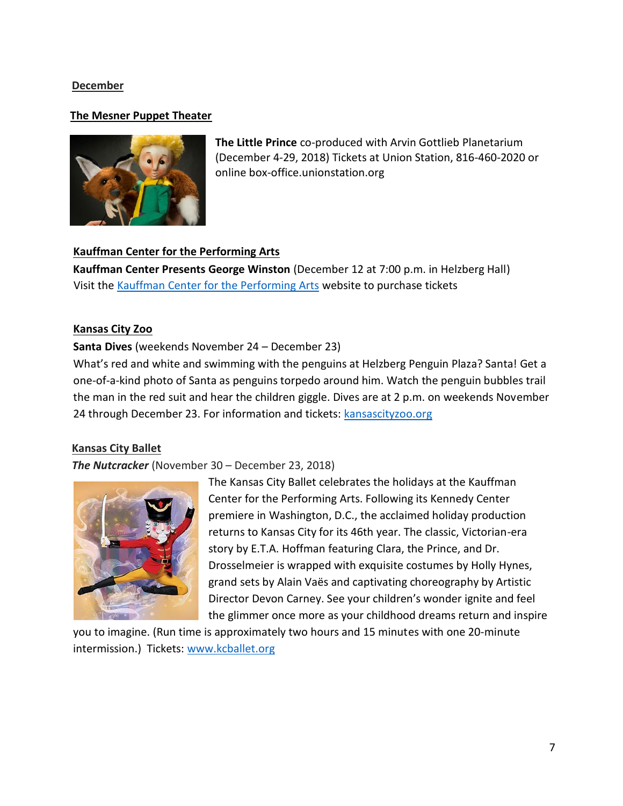### **December**

#### **The Mesner Puppet Theater**



**The Little Prince** co-produced with Arvin Gottlieb Planetarium (December 4-29, 2018) Tickets at Union Station, 816-460-2020 or online box-office.unionstation.org

### **Kauffman Center for the Performing Arts**

**Kauffman Center Presents George Winston** (December 12 at 7:00 p.m. in Helzberg Hall) Visit the [Kauffman Center for the Performing Arts](http://tickets.kauffmancenter.org/single/eventDetail.aspx?p=12125) [w](http://tickets.kauffmancenter.org/single/eventDetail.aspx?p=12125)ebsite to purchase tickets

#### **Kansas City Zoo**

### **Santa Dives** (weekends November 24 – December 23)

What's red and white and swimming with the penguins at Helzberg Penguin Plaza? Santa! Get a one-of-a-kind photo of Santa as penguins torpedo around him. Watch the penguin bubbles trail the man in the red suit and hear the children giggle. Dives are at 2 p.m. on weekends November 24 through December 23. For information and tickets: kansascityzoo.org

### **Kansas City Ballet**

#### *The Nutcracker* (November 30 – December 23, 2018)



The Kansas City Ballet celebrates the holidays at the Kauffman Center for the Performing Arts. Following its Kennedy Center premiere in Washington, D.C., the acclaimed holiday production returns to Kansas City for its 46th year. The classic, Victorian-era story by E.T.A. Hoffman featuring Clara, the Prince, and Dr. Drosselmeier is wrapped with exquisite costumes by Holly Hynes, grand sets by Alain Vaës and captivating choreography by Artistic Director Devon Carney. See your children's wonder ignite and feel the glimmer once more as your childhood dreams return and inspire

you to imagine. (Run time is approximately two hours and 15 minutes with one 20-minute intermission.) Tickets: www.kcballet.org